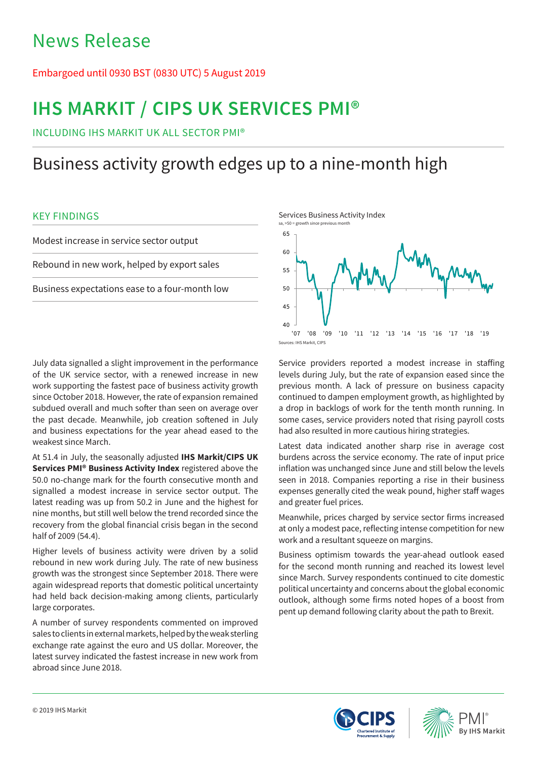## News Release

## Embargoed until 0930 BST (0830 UTC) 5 August 2019

# **IHS MARKIT / CIPS UK SERVICES PMI®**

INCLUDING IHS MARKIT UK ALL SECTOR PMI®

## Business activity growth edges up to a nine-month high

## KEY FINDINGS

Modest increase in service sector output Rebound in new work, helped by export sales Business expectations ease to a four-month low

July data signalled a slight improvement in the performance of the UK service sector, with a renewed increase in new work supporting the fastest pace of business activity growth since October 2018. However, the rate of expansion remained subdued overall and much softer than seen on average over the past decade. Meanwhile, job creation softened in July and business expectations for the year ahead eased to the weakest since March.

At 51.4 in July, the seasonally adjusted **IHS Markit/CIPS UK Services PMI® Business Activity Index** registered above the 50.0 no-change mark for the fourth consecutive month and signalled a modest increase in service sector output. The latest reading was up from 50.2 in June and the highest for nine months, but still well below the trend recorded since the recovery from the global financial crisis began in the second half of 2009 (54.4).

Higher levels of business activity were driven by a solid rebound in new work during July. The rate of new business growth was the strongest since September 2018. There were again widespread reports that domestic political uncertainty had held back decision-making among clients, particularly large corporates.

A number of survey respondents commented on improved sales to clients in external markets, helped by the weak sterling exchange rate against the euro and US dollar. Moreover, the latest survey indicated the fastest increase in new work from abroad since June 2018.



Service providers reported a modest increase in staffing levels during July, but the rate of expansion eased since the previous month. A lack of pressure on business capacity continued to dampen employment growth, as highlighted by a drop in backlogs of work for the tenth month running. In some cases, service providers noted that rising payroll costs had also resulted in more cautious hiring strategies.

Latest data indicated another sharp rise in average cost burdens across the service economy. The rate of input price inflation was unchanged since June and still below the levels seen in 2018. Companies reporting a rise in their business expenses generally cited the weak pound, higher staff wages and greater fuel prices.

Meanwhile, prices charged by service sector firms increased at only a modest pace, reflecting intense competition for new work and a resultant squeeze on margins.

Business optimism towards the year-ahead outlook eased for the second month running and reached its lowest level since March. Survey respondents continued to cite domestic political uncertainty and concerns about the global economic outlook, although some firms noted hopes of a boost from pent up demand following clarity about the path to Brexit.



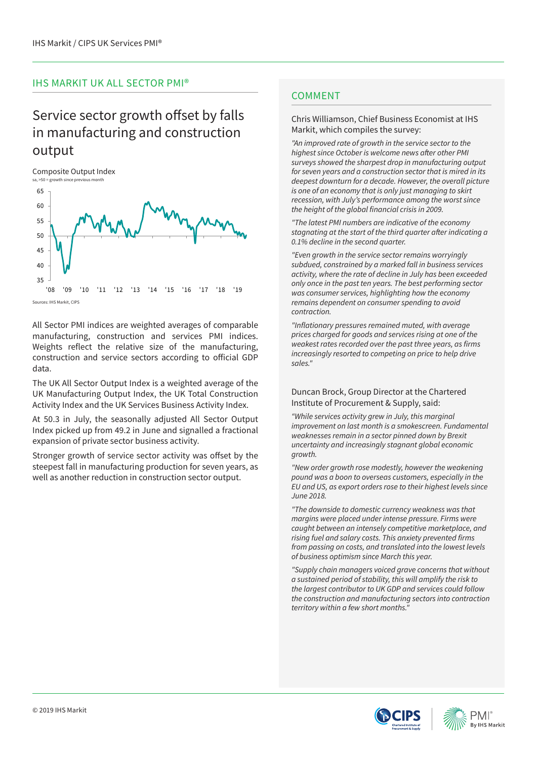### IHS MARKIT UK ALL SECTOR PMI®

## Service sector growth offset by falls in manufacturing and construction output

Composite Output Index<br>sa. >50 = growth since previous month s<br>sand the since previous mon



Sources: IHS Markit, CIPS

All Sector PMI indices are weighted averages of comparable manufacturing, construction and services PMI indices. Weights reflect the relative size of the manufacturing, construction and service sectors according to official GDP data.

The UK All Sector Output Index is a weighted average of the UK Manufacturing Output Index, the UK Total Construction Activity Index and the UK Services Business Activity Index.

At 50.3 in July, the seasonally adjusted All Sector Output Index picked up from 49.2 in June and signalled a fractional expansion of private sector business activity.

Stronger growth of service sector activity was offset by the steepest fall in manufacturing production for seven years, as well as another reduction in construction sector output.

## **COMMENT**

#### Chris Williamson, Chief Business Economist at IHS Markit, which compiles the survey:

*"An improved rate of growth in the service sector to the*  highest since October is welcome news after other PMI *surveys showed the sharpest drop in manufacturing output for seven years and a construction sector that is mired in its deepest downturn for a decade. However, the overall picture is one of an economy that is only just managing to skirt recession, with July's performance among the worst since*  the height of the global financial crisis in 2009.

"The latest PMI numbers are indicative of the economy stagnating at the start of the third quarter after indicating a 0.1% decline in the second quarter.

*"Even growth in the service sector remains worryingly subdued, constrained by a marked fall in business services activity, where the rate of decline in July has been exceeded only once in the past ten years. The best performing sector was consumer services, highlighting how the economy remains dependent on consumer spending to avoid contraction.*

"Inflationary pressures remained muted, with average *prices charged for goods and services rising at one of the*  weakest rates recorded over the past three years, as firms *increasingly resorted to competing on price to help drive sales."*

#### Duncan Brock, Group Director at the Chartered Institute of Procurement & Supply, said:

*"While services activity grew in July, this marginal improvement on last month is a smokescreen. Fundamental weaknesses remain in a sector pinned down by Brexit uncertainty and increasingly stagnant global economic growth.*

*"New order growth rose modestly, however the weakening pound was a boon to overseas customers, especially in the EU and US, as export orders rose to their highest levels since*  June 2018.

*"The downside to domestic currency weakness was that margins were placed under intense pressure. Firms were caught between an intensely competitive marketplace, and*  rising fuel and salary costs. This anxiety prevented firms *from passing on costs, and translated into the lowest levels*  of business optimism since March this year.

*"Supply chain managers voiced grave concerns that without a sustained period of stability, this will amplify the risk to*  the largest contributor to UK GDP and services could follow *the construction and manufacturing sectors into contraction territory within a few short months."*